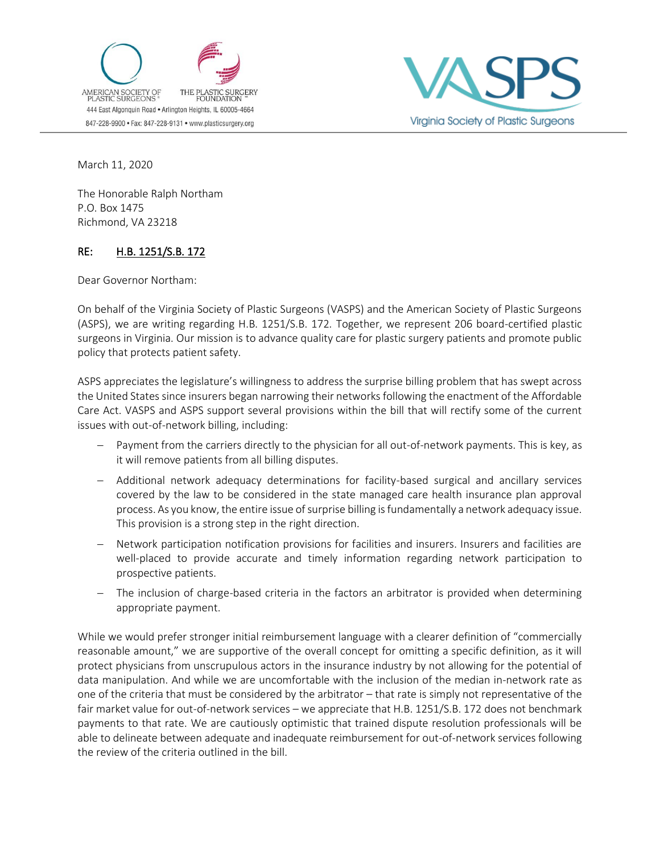



March 11, 2020

The Honorable Ralph Northam P.O. Box 1475 Richmond, VA 23218

## RE: H.B. 1251/S.B. 172

Dear Governor Northam:

On behalf of the Virginia Society of Plastic Surgeons (VASPS) and the American Society of Plastic Surgeons (ASPS), we are writing regarding H.B. 1251/S.B. 172*.* Together, we represent 206 board-certified plastic surgeons in Virginia. Our mission is to advance quality care for plastic surgery patients and promote public policy that protects patient safety.

ASPS appreciates the legislature's willingness to address the surprise billing problem that has swept across the United States since insurers began narrowing their networks following the enactment of the Affordable Care Act. VASPS and ASPS support several provisions within the bill that will rectify some of the current issues with out-of-network billing, including:

- Payment from the carriers directly to the physician for all out-of-network payments. This is key, as it will remove patients from all billing disputes.
- − Additional network adequacy determinations for facility-based surgical and ancillary services covered by the law to be considered in the state managed care health insurance plan approval process. As you know, the entire issue of surprise billing is fundamentally a network adequacy issue. This provision is a strong step in the right direction.
- Network participation notification provisions for facilities and insurers. Insurers and facilities are well-placed to provide accurate and timely information regarding network participation to prospective patients.
- − The inclusion of charge-based criteria in the factors an arbitrator is provided when determining appropriate payment.

While we would prefer stronger initial reimbursement language with a clearer definition of "commercially reasonable amount," we are supportive of the overall concept for omitting a specific definition, as it will protect physicians from unscrupulous actors in the insurance industry by not allowing for the potential of data manipulation. And while we are uncomfortable with the inclusion of the median in-network rate as one of the criteria that must be considered by the arbitrator – that rate is simply not representative of the fair market value for out-of-network services – we appreciate that H.B. 1251/S.B. 172 does not benchmark payments to that rate. We are cautiously optimistic that trained dispute resolution professionals will be able to delineate between adequate and inadequate reimbursement for out-of-network services following the review of the criteria outlined in the bill.